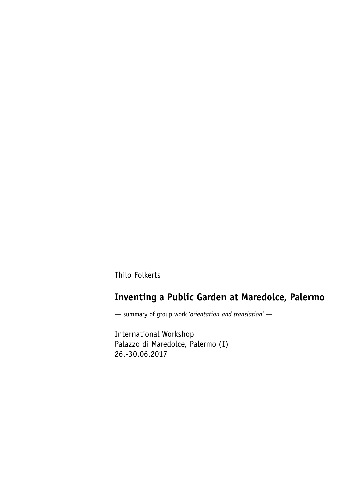Thilo Folkerts

# **Inventing a Public Garden at Maredolce, Palermo**

— summary of group work '*orientation and translation' —*

International Workshop Palazzo di Maredolce, Palermo (I) 26.-30.06.2017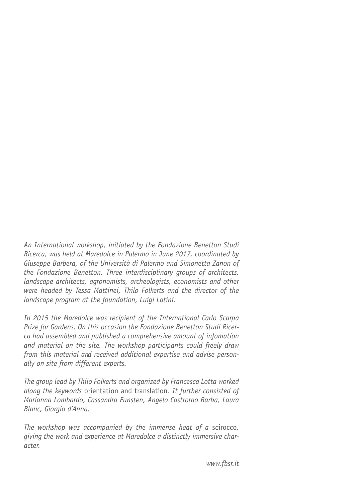*An International workshop, initiated by the Fondazione Benetton Studi Ricerca, was held at Maredolce in Palermo in June 2017, coordinated by Giuseppe Barbera, of the Università di Palermo and Simonetta Zanon of the Fondazione Benetton. Three interdisciplinary groups of architects, landscape architects, agronomists, archeologists, economists and other were headed by Tessa Mattinei, Thilo Folkerts and the director of the landscape program at the foundation, Luigi Latini.* 

*In 2015 the Maredolce was recipient of the International Carlo Scarpa Prize for Gardens. On this occasion the Fondazione Benetton Studi Ricerca had assembled and published a comprehensive amount of infomation and material on the site. The workshop participants could freely draw from this material and received additional expertise and advise personally on site from different experts.*

*The group lead by Thilo Folkerts and organized by Francesca Lotta worked along the keywords* orientation and translation*. It further consisted of Marianna Lombardo, Cassandra Funsten, Angelo Castrorao Barba, Laura Blanc, Giorgio d'Anna.* 

*The workshop was accompanied by the immense heat of a* scirocco*, giving the work and experience at Maredolce a distinctly immersive character.*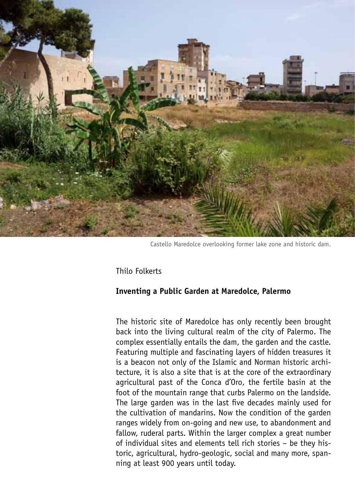

Castello Maredolce overlooking former lake zone and historic dam.

Thilo Folkerts

### **Inventing a Public Garden at Maredolce, Palermo**

The historic site of Maredolce has only recently been brought back into the living cultural realm of the city of Palermo. The complex essentially entails the dam, the garden and the castle. Featuring multiple and fascinating layers of hidden treasures it is a beacon not only of the Islamic and Norman historic architecture, it is also a site that is at the core of the extraordinary agricultural past of the Conca d'Oro, the fertile basin at the foot of the mountain range that curbs Palermo on the landside. The large garden was in the last five decades mainly used for the cultivation of mandarins. Now the condition of the garden ranges widely from on-going and new use, to abandonment and fallow, ruderal parts. Within the larger complex a great number of individual sites and elements tell rich stories – be they historic, agricultural, hydro-geologic, social and many more, spanning at least 900 years until today.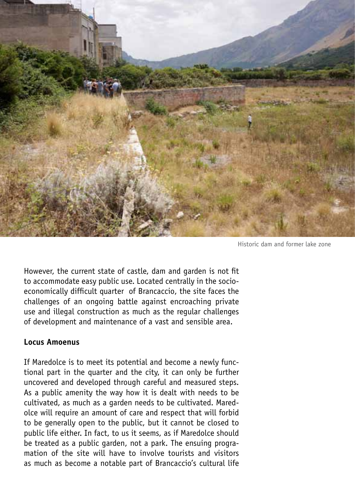

Historic dam and former lake zone

However, the current state of castle, dam and garden is not fit to accommodate easy public use. Located centrally in the socioeconomically difficult quarter of Brancaccio, the site faces the challenges of an ongoing battle against encroaching private use and illegal construction as much as the regular challenges of development and maintenance of a vast and sensible area.

#### **Locus Amoenus**

If Maredolce is to meet its potential and become a newly functional part in the quarter and the city, it can only be further uncovered and developed through careful and measured steps. As a public amenity the way how it is dealt with needs to be cultivated, as much as a garden needs to be cultivated. Maredolce will require an amount of care and respect that will forbid to be generally open to the public, but it cannot be closed to public life either. In fact, to us it seems, as if Maredolce should be treated as a public garden, not a park. The ensuing programation of the site will have to involve tourists and visitors as much as become a notable part of Brancaccio's cultural life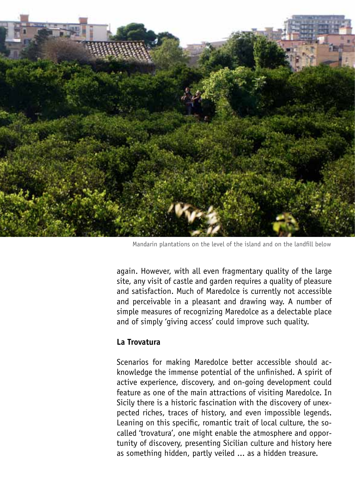

Mandarin plantations on the level of the island and on the landfill below

again. However, with all even fragmentary quality of the large site, any visit of castle and garden requires a quality of pleasure and satisfaction. Much of Maredolce is currently not accessible and perceivable in a pleasant and drawing way. A number of simple measures of recognizing Maredolce as a delectable place and of simply 'giving access' could improve such quality.

## **La Trovatura**

Scenarios for making Maredolce better accessible should acknowledge the immense potential of the unfinished. A spirit of active experience, discovery, and on-going development could feature as one of the main attractions of visiting Maredolce. In Sicily there is a historic fascination with the discovery of unexpected riches, traces of history, and even impossible legends. Leaning on this specific, romantic trait of local culture, the socalled 'trovatura', one might enable the atmosphere and opportunity of discovery, presenting Sicilian culture and history here as something hidden, partly veiled ... as a hidden treasure.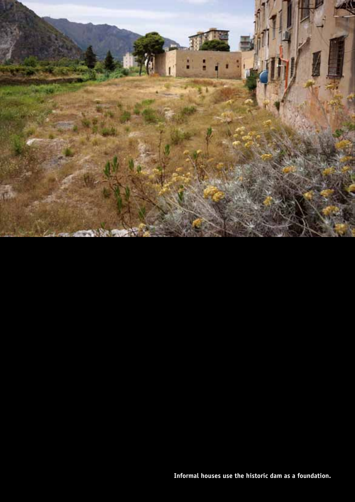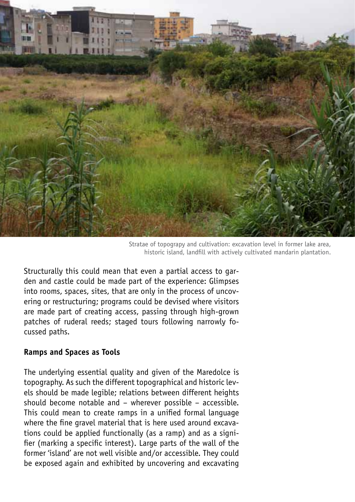

Stratae of topograpy and cultivation: excavation level in former lake area, historic island, landfill with actively cultivated mandarin plantation.

Structurally this could mean that even a partial access to garden and castle could be made part of the experience: Glimpses into rooms, spaces, sites, that are only in the process of uncovering or restructuring; programs could be devised where visitors are made part of creating access, passing through high-grown patches of ruderal reeds; staged tours following narrowly focussed paths.

#### **Ramps and Spaces as Tools**

The underlying essential quality and given of the Maredolce is topography. As such the different topographical and historic levels should be made legible; relations between different heights should become notable and – wherever possible – accessible. This could mean to create ramps in a unified formal language where the fine gravel material that is here used around excavations could be applied functionally (as a ramp) and as a signifier (marking a specific interest). Large parts of the wall of the former 'island' are not well visible and/or accessible. They could be exposed again and exhibited by uncovering and excavating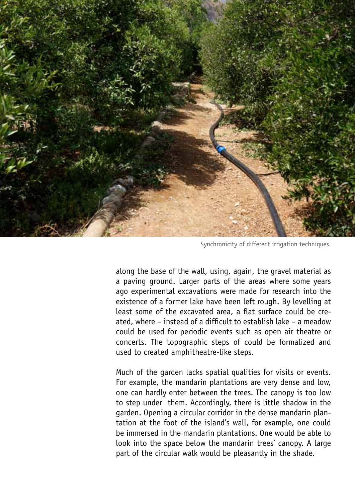

Synchronicity of different irrigation techniques.

along the base of the wall, using, again, the gravel material as a paving ground. Larger parts of the areas where some years ago experimental excavations were made for research into the existence of a former lake have been left rough. By levelling at least some of the excavated area, a flat surface could be created, where – instead of a difficult to establish lake – a meadow could be used for periodic events such as open air theatre or concerts. The topographic steps of could be formalized and used to created amphitheatre-like steps.

Much of the garden lacks spatial qualities for visits or events. For example, the mandarin plantations are very dense and low, one can hardly enter between the trees. The canopy is too low to step under them. Accordingly, there is little shadow in the garden. Opening a circular corridor in the dense mandarin plantation at the foot of the island's wall, for example, one could be immersed in the mandarin plantations. One would be able to look into the space below the mandarin trees' canopy. A large part of the circular walk would be pleasantly in the shade.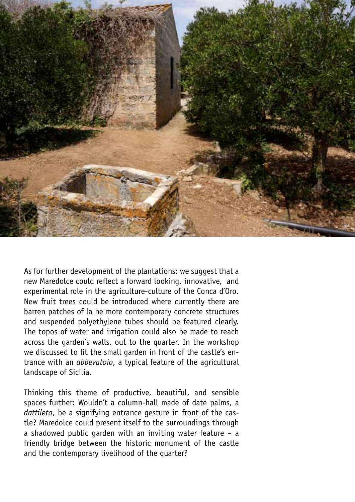

As for further development of the plantations: we suggest that a new Maredolce could reflect a forward looking, innovative, and experimental role in the agriculture-culture of the Conca d'Oro. New fruit trees could be introduced where currently there are barren patches of la he more contemporary concrete structures and suspended polyethylene tubes should be featured clearly. The topos of water and irrigation could also be made to reach across the garden's walls, out to the quarter. In the workshop we discussed to fit the small garden in front of the castle's entrance with an *abbevatoio*, a typical feature of the agricultural landscape of Sicilia.

Thinking this theme of productive, beautiful, and sensible spaces further: Wouldn't a column-hall made of date palms, a *dattileto*, be a signifying entrance gesture in front of the castle? Maredolce could present itself to the surroundings through a shadowed public garden with an inviting water feature – a friendly bridge between the historic monument of the castle and the contemporary livelihood of the quarter?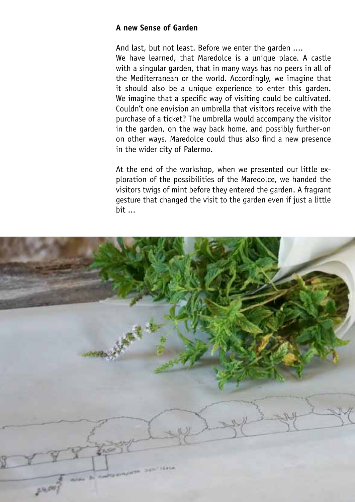# **A new Sense of Garden**

And last, but not least. Before we enter the garden ....

We have learned, that Maredolce is a unique place. A castle with a singular garden, that in many ways has no peers in all of the Mediterranean or the world. Accordingly, we imagine that it should also be a unique experience to enter this garden. We imagine that a specific way of visiting could be cultivated. Couldn't one envision an umbrella that visitors receive with the purchase of a ticket? The umbrella would accompany the visitor in the garden, on the way back home, and possibly further-on on other ways. Maredolce could thus also find a new presence in the wider city of Palermo.

At the end of the workshop, when we presented our little exploration of the possibilities of the Maredolce, we handed the visitors twigs of mint before they entered the garden. A fragrant gesture that changed the visit to the garden even if just a little bit ...

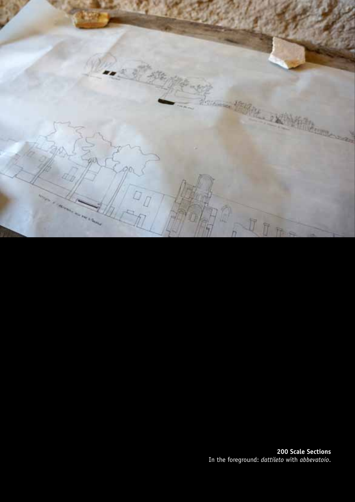

200 Scale Sections In the foreground: *dattileto* with *abbevatoio*.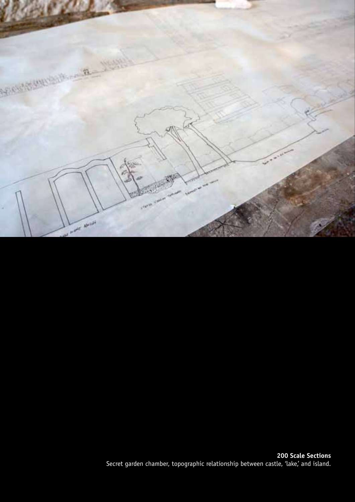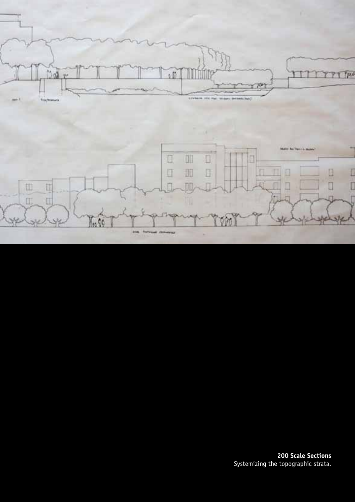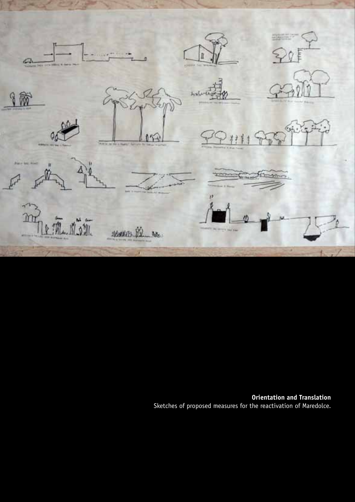

**Orientation and Translation** Sketches of proposed measures for the reactivation of Maredolce.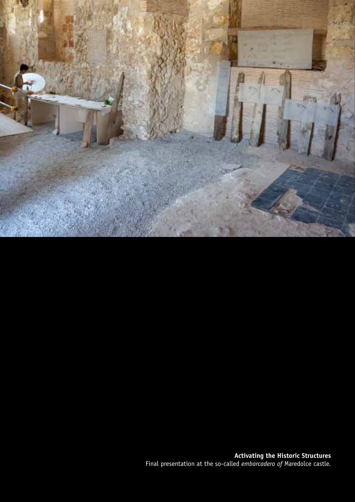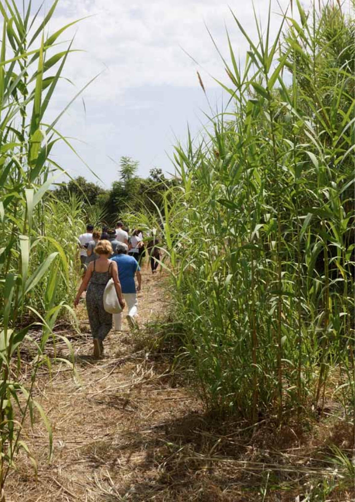